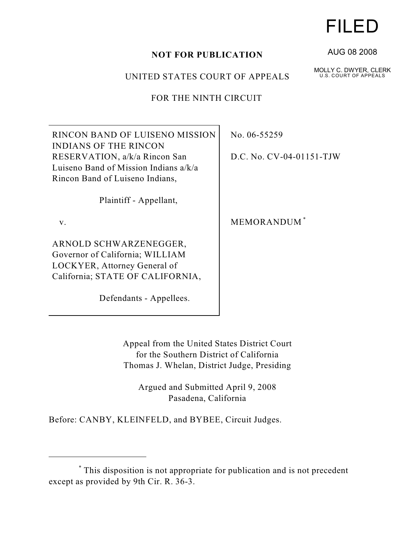## **NOT FOR PUBLICATION**

UNITED STATES COURT OF APPEALS

FOR THE NINTH CIRCUIT

RINCON BAND OF LUISENO MISSION INDIANS OF THE RINCON RESERVATION, a/k/a Rincon San Luiseno Band of Mission Indians a/k/a Rincon Band of Luiseno Indians,

Plaintiff - Appellant,

v.

ARNOLD SCHWARZENEGGER, Governor of California; WILLIAM LOCKYER, Attorney General of California; STATE OF CALIFORNIA,

Defendants - Appellees.

No. 06-55259

D.C. No. CV-04-01151-TJW

MEMORANDUM \*

Appeal from the United States District Court for the Southern District of California Thomas J. Whelan, District Judge, Presiding

Argued and Submitted April 9, 2008 Pasadena, California

Before: CANBY, KLEINFELD, and BYBEE, Circuit Judges.

## FILED

AUG 08 2008

MOLLY C. DWYER, CLERK U.S. COURT OF APPEALS

This disposition is not appropriate for publication and is not precedent \* except as provided by 9th Cir. R. 36-3.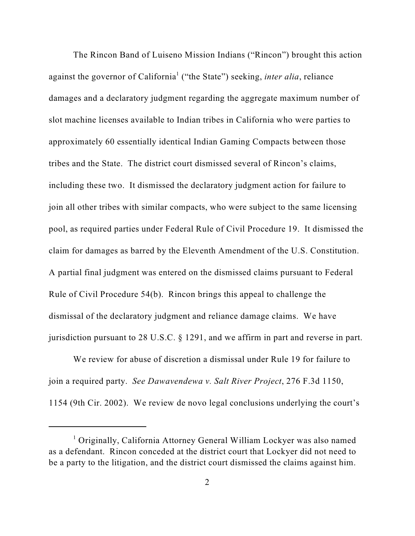The Rincon Band of Luiseno Mission Indians ("Rincon") brought this action against the governor of California<sup>1</sup> ("the State") seeking, *inter alia*, reliance damages and a declaratory judgment regarding the aggregate maximum number of slot machine licenses available to Indian tribes in California who were parties to approximately 60 essentially identical Indian Gaming Compacts between those tribes and the State. The district court dismissed several of Rincon's claims, including these two. It dismissed the declaratory judgment action for failure to join all other tribes with similar compacts, who were subject to the same licensing pool, as required parties under Federal Rule of Civil Procedure 19. It dismissed the claim for damages as barred by the Eleventh Amendment of the U.S. Constitution. A partial final judgment was entered on the dismissed claims pursuant to Federal Rule of Civil Procedure 54(b). Rincon brings this appeal to challenge the dismissal of the declaratory judgment and reliance damage claims. We have jurisdiction pursuant to 28 U.S.C. § 1291, and we affirm in part and reverse in part.

We review for abuse of discretion a dismissal under Rule 19 for failure to join a required party. *See Dawavendewa v. Salt River Project*, 276 F.3d 1150, 1154 (9th Cir. 2002). We review de novo legal conclusions underlying the court's

 $\frac{1}{1}$  Originally, California Attorney General William Lockyer was also named as a defendant. Rincon conceded at the district court that Lockyer did not need to be a party to the litigation, and the district court dismissed the claims against him.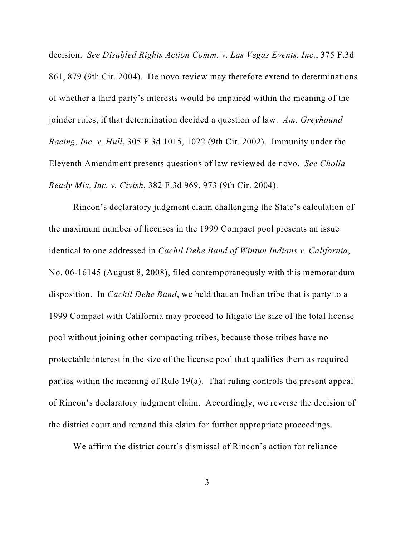decision. *See Disabled Rights Action Comm. v. Las Vegas Events, Inc.*, 375 F.3d 861, 879 (9th Cir. 2004). De novo review may therefore extend to determinations of whether a third party's interests would be impaired within the meaning of the joinder rules, if that determination decided a question of law. *Am. Greyhound Racing, Inc. v. Hull*, 305 F.3d 1015, 1022 (9th Cir. 2002). Immunity under the Eleventh Amendment presents questions of law reviewed de novo. *See Cholla Ready Mix, Inc. v. Civish*, 382 F.3d 969, 973 (9th Cir. 2004).

Rincon's declaratory judgment claim challenging the State's calculation of the maximum number of licenses in the 1999 Compact pool presents an issue identical to one addressed in *Cachil Dehe Band of Wintun Indians v. California*, No. 06-16145 (August 8, 2008), filed contemporaneously with this memorandum disposition. In *Cachil Dehe Band*, we held that an Indian tribe that is party to a 1999 Compact with California may proceed to litigate the size of the total license pool without joining other compacting tribes, because those tribes have no protectable interest in the size of the license pool that qualifies them as required parties within the meaning of Rule 19(a). That ruling controls the present appeal of Rincon's declaratory judgment claim. Accordingly, we reverse the decision of the district court and remand this claim for further appropriate proceedings.

We affirm the district court's dismissal of Rincon's action for reliance